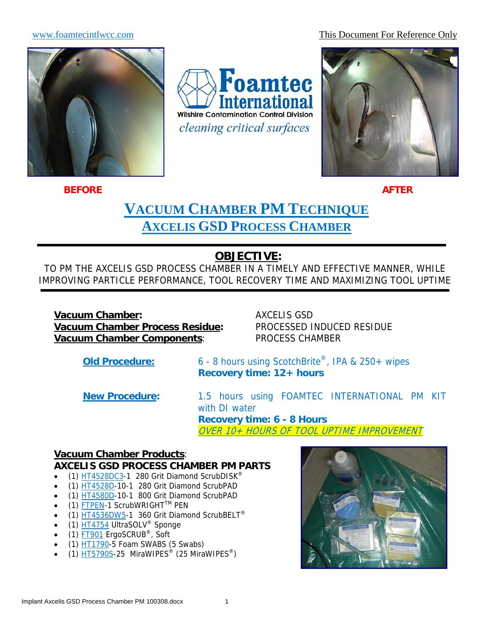www.foamtecintlwcc.com This Document For Reference Only



**BEFORE** AFTER AFTER AFTER AFTER AFTER AFTER AFTER AFTER AFTER AFTER AFTER

ī

Foamtec **nternational Wilshire Contamination Control Division** *cleaning critical surfaces* 



# **VACUUM CHAMBER PM TECHNIQUE AXCELIS GSD PROCESS CHAMBER**

# **OBJECTIVE:**

TO PM THE AXCELIS GSD PROCESS CHAMBER IN A TIMELY AND EFFECTIVE MANNER, WHILE IMPROVING PARTICLE PERFORMANCE, TOOL RECOVERY TIME AND MAXIMIZING TOOL UPTIME

**Vacuum Chamber:** AXCELIS GSD **Vacuum Chamber Process Residue:** PROCESSED INDUCED RESIDUE **Vacuum Chamber Components**: PROCESS CHAMBER

**Old Procedure:** 6 - 8 hours using ScotchBrite®, IPA & 250+ wipes **Recovery time: 12+ hours** 

**New Procedure:** 1.5 hours using FOAMTEC INTERNATIONAL PM KIT with DI water **Recovery time: 6 - 8 Hours**  OVER 10+ HOURS OF TOOL UPTIME IMPROVEMENT

### **Vacuum Chamber Products**:

#### **AXCELIS GSD PROCESS CHAMBER PM PARTS**

- (1) HT4528DC3-1 280 Grit Diamond ScrubDISK<sup>®</sup>
- (1) HT4528D-10-1 280 Grit Diamond ScrubPAD
- (1) HT4580D-10-1 800 Grit Diamond ScrubPAD
- (1) FTPEN-1 ScrubWRIGHTTM PEN
- $(1)$  HT4536DW5-1 360 Grit Diamond ScrubBELT<sup>®</sup>
- $(1)$   $\overline{HT4754}$  UltraSOLV<sup>®</sup> Sponge
- (1) FT901 ErgoSCRUB®, Soft
- $\bullet$  (1) HT1790-5 Foam SWABS (5 Swabs)
- (1)  $\overline{H}$  HT5790S-25 MiraWIPES<sup>®</sup> (25 MiraWIPES<sup>®</sup>)

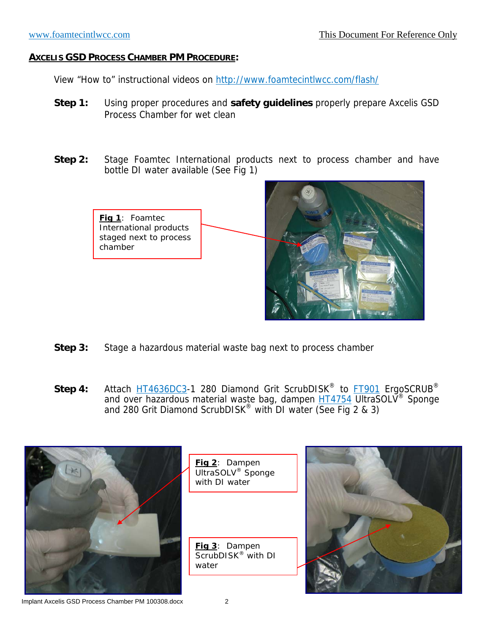View "How to" instructional videos on http://www.foamtecintlwcc.com/flash/

- **Step 1:** Using proper procedures and **safety guidelines** properly prepare Axcelis GSD Process Chamber for wet clean
- **Step 2:** Stage Foamtec International products next to process chamber and have bottle DI water available (See Fig 1)



- **Step 3:** Stage a hazardous material waste bag next to process chamber
- Step 4: Attach HT4636DC3-1 280 Diamond Grit ScrubDISK<sup>®</sup> to FT901 ErgoSCRUB<sup>®</sup> and over hazardous material waste bag, dampen **HT4754** UltraSOLV<sup>®</sup> Sponge and 280 Grit Diamond ScrubDISK<sup>®</sup> with DI water (See Fig 2 & 3)



Implant Axcelis GSD Process Chamber PM 100308.docx 2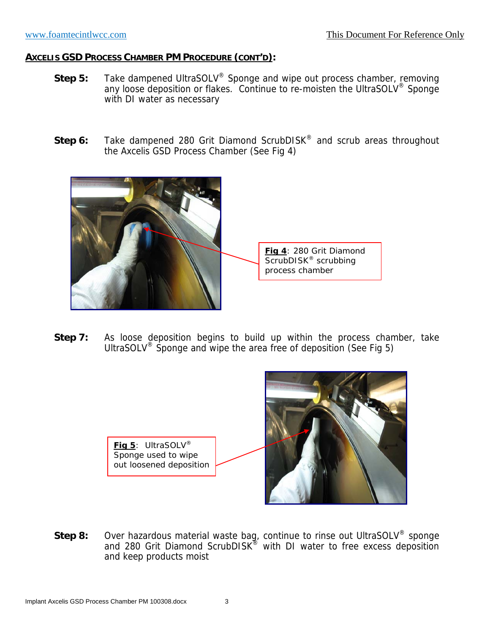- **Step 5:** Take dampened UltraSOLV<sup>®</sup> Sponge and wipe out process chamber, removing any loose deposition or flakes. Continue to re-moisten the UltraSOLV<sup>®</sup> Sponge with DI water as necessary
- **Step 6:** Take dampened 280 Grit Diamond ScrubDISK<sup>®</sup> and scrub areas throughout the Axcelis GSD Process Chamber (See Fig 4)



**Step 7:** As loose deposition begins to build up within the process chamber, take UltraSOLV<sup>®</sup> Sponge and wipe the area free of deposition (See Fig 5)



**Step 8:** Over hazardous material waste bag, continue to rinse out UltraSOLV® sponge and 280 Grit Diamond ScrubDISK<sup>®</sup> with DI water to free excess deposition and keep products moist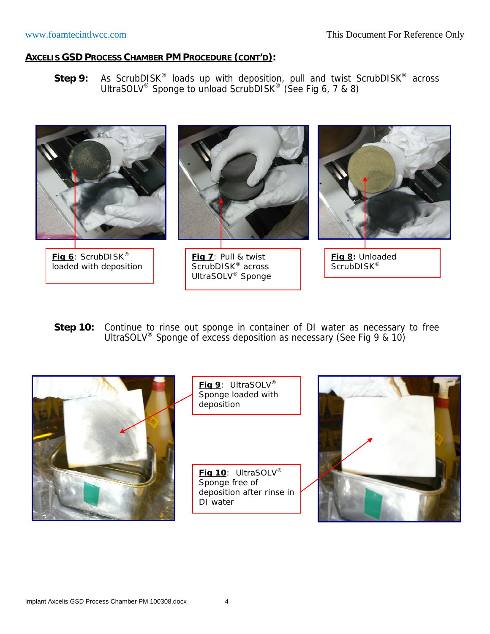Step 9: As ScrubDISK<sup>®</sup> loads up with deposition, pull and twist ScrubDISK<sup>®</sup> across UltraSOLV<sup>®</sup> Sponge to unload ScrubDISK<sup>®</sup> (See Fig 6, 7 & 8)



Step 10: Continue to rinse out sponge in container of DI water as necessary to free UltraSOLV® Sponge of excess deposition as necessary (See Fig 9 & 10)



**Fig 9**: UltraSOLV® Sponge loaded with deposition

**Fig 10**: UltraSOLV® Sponge free of deposition after rinse in DI water

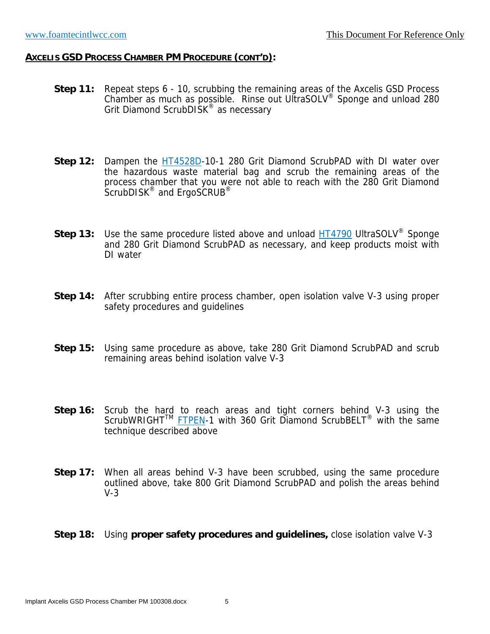- **Step 11:** Repeat steps 6 10, scrubbing the remaining areas of the Axcelis GSD Process Chamber as much as possible. Rinse out UltraSOLV® Sponge and unload 280 Grit Diamond ScrubDISK<sup>®</sup> as necessary
- **Step 12:** Dampen the **HT4528D-10-1 280 Grit Diamond ScrubPAD with DI water over** the hazardous waste material bag and scrub the remaining areas of the process chamber that you were not able to reach with the 280 Grit Diamond ScrubDISK<sup>®</sup> and ErgoSCRUB<sup>®</sup>
- **Step 13:** Use the same procedure listed above and unload HT4790 UltraSOLV<sup>®</sup> Sponge and 280 Grit Diamond ScrubPAD as necessary, and keep products moist with DI water
- **Step 14:** After scrubbing entire process chamber, open isolation valve V-3 using proper safety procedures and guidelines
- **Step 15:** Using same procedure as above, take 280 Grit Diamond ScrubPAD and scrub remaining areas behind isolation valve V-3
- **Step 16:** Scrub the hard to reach areas and tight corners behind V-3 using the ScrubWRIGHT<sup>™</sup> FTPEN-1 with 360 Grit Diamond ScrubBELT<sup>®</sup> with the same technique described above
- **Step 17:** When all areas behind V-3 have been scrubbed, using the same procedure outlined above, take 800 Grit Diamond ScrubPAD and polish the areas behind V-3

#### **Step 18:** Using **proper safety procedures and guidelines,** close isolation valve V-3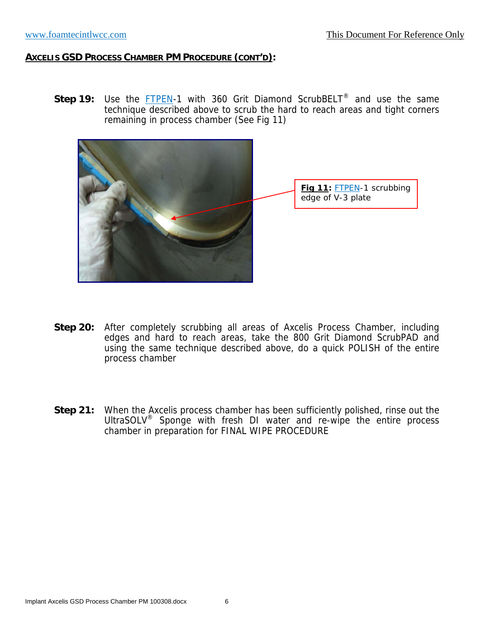**Step 19:** Use the **FTPEN-1** with 360 Grit Diamond ScrubBELT<sup>®</sup> and use the same technique described above to scrub the hard to reach areas and tight corners remaining in process chamber (See Fig 11)



- **Step 20:** After completely scrubbing all areas of Axcelis Process Chamber, including edges and hard to reach areas, take the 800 Grit Diamond ScrubPAD and using the same technique described above, do a quick POLISH of the entire process chamber
- **Step 21:** When the Axcelis process chamber has been sufficiently polished, rinse out the UltraSOLV<sup>®</sup> Sponge with fresh DI water and re-wipe the entire process chamber in preparation for FINAL WIPE PROCEDURE